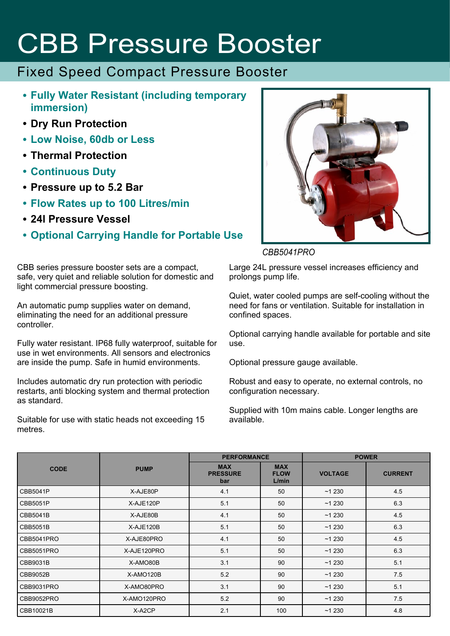# CBB Pressure Booster

### Fixed Speed Compact Pressure Booster

- **Fully Water Resistant (including temporary immersion)**
- **Dry Run Protection**
- **Low Noise, 60db or Less**
- **Thermal Protection**
- **Continuous Duty**
- **Pressure up to 5.2 Bar**
- **Flow Rates up to 100 Litres/min**
- **24l Pressure Vessel**
- **Optional Carrying Handle for Portable Use**

CBB series pressure booster sets are a compact, safe, very quiet and reliable solution for domestic and light commercial pressure boosting.

An automatic pump supplies water on demand, eliminating the need for an additional pressure controller.

Fully water resistant. IP68 fully waterproof, suitable for use in wet environments. All sensors and electronics are inside the pump. Safe in humid environments.

Includes automatic dry run protection with periodic restarts, anti blocking system and thermal protection as standard.

Suitable for use with static heads not exceeding 15 metres.



#### *CBB5041PRO*

Large 24L pressure vessel increases efficiency and prolongs pump life.

Quiet, water cooled pumps are self-cooling without the need for fans or ventilation. Suitable for installation in confined spaces.

Optional carrying handle available for portable and site use.

Optional pressure gauge available.

Robust and easy to operate, no external controls, no configuration necessary.

Supplied with 10m mains cable. Longer lengths are available.

|                 | <b>PUMP</b> | <b>PERFORMANCE</b>                   |                                    | <b>POWER</b>   |                |
|-----------------|-------------|--------------------------------------|------------------------------------|----------------|----------------|
| <b>CODE</b>     |             | <b>MAX</b><br><b>PRESSURE</b><br>bar | <b>MAX</b><br><b>FLOW</b><br>L/min | <b>VOLTAGE</b> | <b>CURRENT</b> |
| CBB5041P        | X-AJE80P    | 4.1                                  | 50                                 | ~1230          | 4.5            |
| CBB5051P        | X-AJE120P   | 5.1                                  | 50                                 | ~1230          | 6.3            |
| CBB5041B        | X-AJE80B    | 4.1                                  | 50                                 | ~1230          | 4.5            |
| <b>CBB5051B</b> | X-AJE120B   | 5.1                                  | 50                                 | ~1230          | 6.3            |
| CBB5041PRO      | X-AJE80PRO  | 4.1                                  | 50                                 | ~1230          | 4.5            |
| CBB5051PRO      | X-AJE120PRO | 5.1                                  | 50                                 | ~1230          | 6.3            |
| CBB9031B        | X-AMO80B    | 3.1                                  | 90                                 | ~1230          | 5.1            |
| CBB9052B        | X-AMO120B   | 5.2                                  | 90                                 | ~1230          | 7.5            |
| CBB9031PRO      | X-AMO80PRO  | 3.1                                  | 90                                 | ~1230          | 5.1            |
| CBB9052PRO      | X-AMO120PRO | 5.2                                  | 90                                 | ~1230          | 7.5            |
| CBB10021B       | X-A2CP      | 2.1                                  | 100                                | ~1230          | 4.8            |